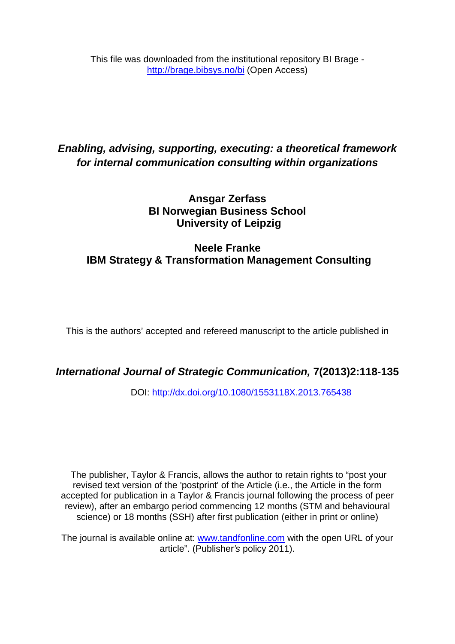This file was downloaded from the institutional repository BI Brage <http://brage.bibsys.no/bi> (Open Access)

# *Enabling, advising, supporting, executing: a theoretical framework for internal communication consulting within organizations*

## **Ansgar Zerfass BI Norwegian Business School University of Leipzig**

# **Neele Franke IBM Strategy & Transformation Management Consulting**

This is the authors' accepted and refereed manuscript to the article published in

## *International Journal of Strategic Communication,* **7(2013)2:118-135**

DOI: <http://dx.doi.org/10.1080/1553118X.2013.765438>

The publisher, Taylor & Francis, allows the author to retain rights to "post your revised text version of the 'postprint' of the Article (i.e., the Article in the form accepted for publication in a Taylor & Francis journal following the process of peer review), after an embargo period commencing 12 months (STM and behavioural science) or 18 months (SSH) after first publication (either in print or online)

The journal is available online at: [www.tandfonline.com](http://www.tandfonline.com/) with the open URL of your article". (Publisher*'s* policy 2011).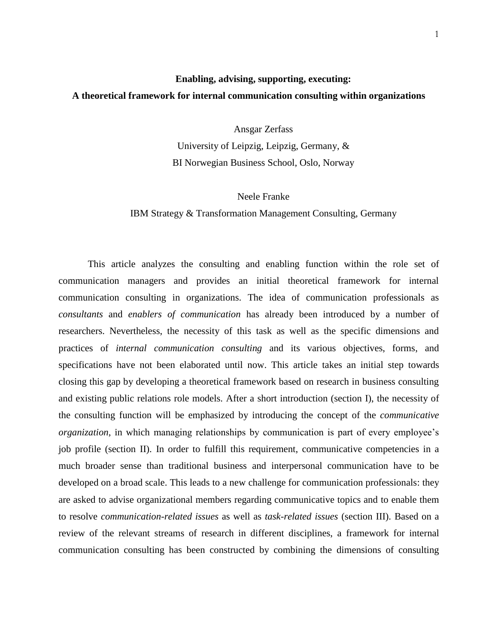#### **Enabling, advising, supporting, executing:**

#### **A theoretical framework for internal communication consulting within organizations**

Ansgar Zerfass University of Leipzig, Leipzig, Germany, & BI Norwegian Business School, Oslo, Norway

Neele Franke

IBM Strategy & Transformation Management Consulting, Germany

This article analyzes the consulting and enabling function within the role set of communication managers and provides an initial theoretical framework for internal communication consulting in organizations. The idea of communication professionals as *consultants* and *enablers of communication* has already been introduced by a number of researchers. Nevertheless, the necessity of this task as well as the specific dimensions and practices of *internal communication consulting* and its various objectives, forms, and specifications have not been elaborated until now. This article takes an initial step towards closing this gap by developing a theoretical framework based on research in business consulting and existing public relations role models. After a short introduction (section I), the necessity of the consulting function will be emphasized by introducing the concept of the *communicative organization*, in which managing relationships by communication is part of every employee's job profile (section II). In order to fulfill this requirement, communicative competencies in a much broader sense than traditional business and interpersonal communication have to be developed on a broad scale. This leads to a new challenge for communication professionals: they are asked to advise organizational members regarding communicative topics and to enable them to resolve *communication-related issues* as well as *task-related issues* (section III). Based on a review of the relevant streams of research in different disciplines, a framework for internal communication consulting has been constructed by combining the dimensions of consulting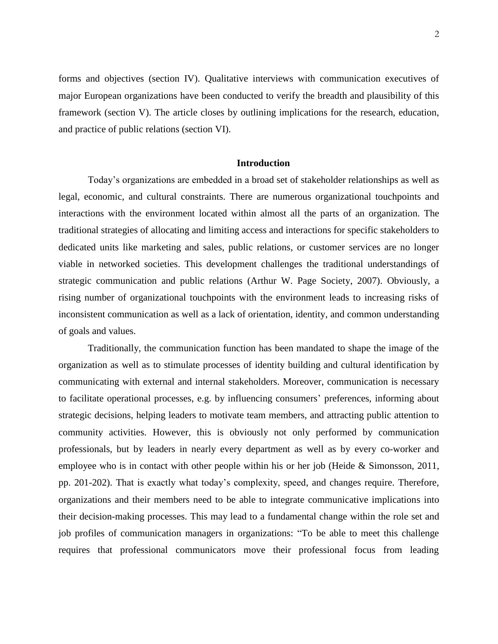forms and objectives (section IV). Qualitative interviews with communication executives of major European organizations have been conducted to verify the breadth and plausibility of this framework (section V). The article closes by outlining implications for the research, education, and practice of public relations (section VI).

#### **Introduction**

Today's organizations are embedded in a broad set of stakeholder relationships as well as legal, economic, and cultural constraints. There are numerous organizational touchpoints and interactions with the environment located within almost all the parts of an organization. The traditional strategies of allocating and limiting access and interactions for specific stakeholders to dedicated units like marketing and sales, public relations, or customer services are no longer viable in networked societies. This development challenges the traditional understandings of strategic communication and public relations (Arthur W. Page Society, 2007). Obviously, a rising number of organizational touchpoints with the environment leads to increasing risks of inconsistent communication as well as a lack of orientation, identity, and common understanding of goals and values.

Traditionally, the communication function has been mandated to shape the image of the organization as well as to stimulate processes of identity building and cultural identification by communicating with external and internal stakeholders. Moreover, communication is necessary to facilitate operational processes, e.g. by influencing consumers' preferences, informing about strategic decisions, helping leaders to motivate team members, and attracting public attention to community activities. However, this is obviously not only performed by communication professionals, but by leaders in nearly every department as well as by every co-worker and employee who is in contact with other people within his or her job (Heide & Simonsson, 2011, pp. 201-202). That is exactly what today's complexity, speed, and changes require. Therefore, organizations and their members need to be able to integrate communicative implications into their decision-making processes. This may lead to a fundamental change within the role set and job profiles of communication managers in organizations: "To be able to meet this challenge requires that professional communicators move their professional focus from leading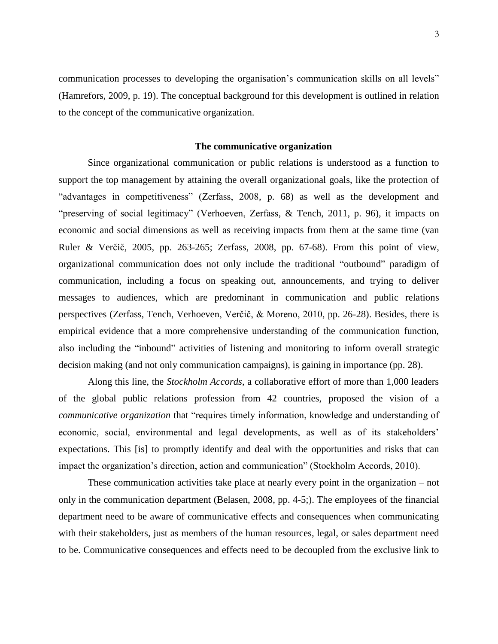communication processes to developing the organisation's communication skills on all levels" (Hamrefors, 2009, p. 19). The conceptual background for this development is outlined in relation to the concept of the communicative organization.

#### **The communicative organization**

Since organizational communication or public relations is understood as a function to support the top management by attaining the overall organizational goals, like the protection of "advantages in competitiveness" (Zerfass, 2008, p. 68) as well as the development and "preserving of social legitimacy" (Verhoeven, Zerfass, & Tench, 2011, p. 96), it impacts on economic and social dimensions as well as receiving impacts from them at the same time (van Ruler & Verčič, 2005, pp. 263-265; Zerfass, 2008, pp. 67-68). From this point of view, organizational communication does not only include the traditional "outbound" paradigm of communication, including a focus on speaking out, announcements, and trying to deliver messages to audiences, which are predominant in communication and public relations perspectives (Zerfass, Tench, Verhoeven, Verčič, & Moreno, 2010, pp. 26-28). Besides, there is empirical evidence that a more comprehensive understanding of the communication function, also including the "inbound" activities of listening and monitoring to inform overall strategic decision making (and not only communication campaigns), is gaining in importance (pp. 28).

Along this line, the *Stockholm Accords*, a collaborative effort of more than 1,000 leaders of the global public relations profession from 42 countries, proposed the vision of a *communicative organization* that "requires timely information, knowledge and understanding of economic, social, environmental and legal developments, as well as of its stakeholders' expectations. This [is] to promptly identify and deal with the opportunities and risks that can impact the organization's direction, action and communication" (Stockholm Accords, 2010).

These communication activities take place at nearly every point in the organization – not only in the communication department (Belasen, 2008, pp. 4-5;). The employees of the financial department need to be aware of communicative effects and consequences when communicating with their stakeholders, just as members of the human resources, legal, or sales department need to be. Communicative consequences and effects need to be decoupled from the exclusive link to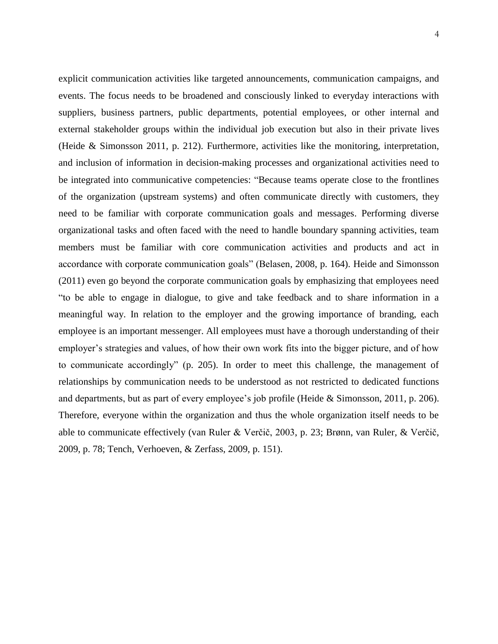explicit communication activities like targeted announcements, communication campaigns, and events. The focus needs to be broadened and consciously linked to everyday interactions with suppliers, business partners, public departments, potential employees, or other internal and external stakeholder groups within the individual job execution but also in their private lives (Heide & Simonsson 2011, p. 212). Furthermore, activities like the monitoring, interpretation, and inclusion of information in decision-making processes and organizational activities need to be integrated into communicative competencies: "Because teams operate close to the frontlines of the organization (upstream systems) and often communicate directly with customers, they need to be familiar with corporate communication goals and messages. Performing diverse organizational tasks and often faced with the need to handle boundary spanning activities, team members must be familiar with core communication activities and products and act in accordance with corporate communication goals" (Belasen, 2008, p. 164). Heide and Simonsson (2011) even go beyond the corporate communication goals by emphasizing that employees need "to be able to engage in dialogue, to give and take feedback and to share information in a meaningful way. In relation to the employer and the growing importance of branding, each employee is an important messenger. All employees must have a thorough understanding of their employer's strategies and values, of how their own work fits into the bigger picture, and of how to communicate accordingly" (p. 205). In order to meet this challenge, the management of relationships by communication needs to be understood as not restricted to dedicated functions and departments, but as part of every employee's job profile (Heide & Simonsson, 2011, p. 206). Therefore, everyone within the organization and thus the whole organization itself needs to be able to communicate effectively (van Ruler & Verčič, 2003, p. 23; Brønn, van Ruler, & Verčič, 2009, p. 78; Tench, Verhoeven, & Zerfass, 2009, p. 151).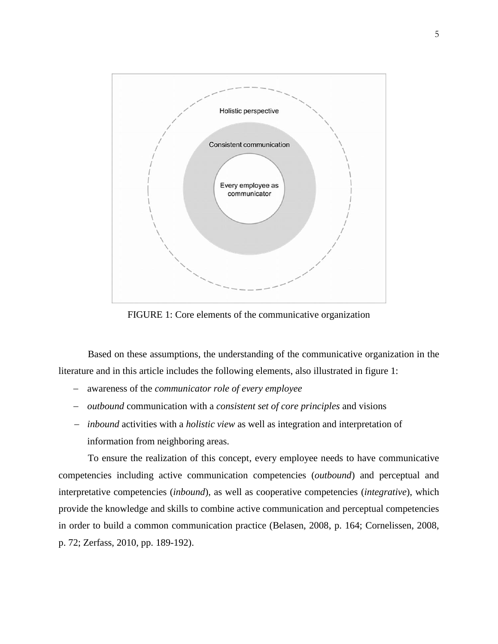

FIGURE 1: Core elements of the communicative organization

Based on these assumptions, the understanding of the communicative organization in the literature and in this article includes the following elements, also illustrated in figure 1:

- awareness of the *communicator role of every employee*
- *outbound* communication with a *consistent set of core principles* and visions
- *inbound* activities with a *holistic view* as well as integration and interpretation of information from neighboring areas.

To ensure the realization of this concept, every employee needs to have communicative competencies including active communication competencies (*outbound*) and perceptual and interpretative competencies (*inbound*), as well as cooperative competencies (*integrative*), which provide the knowledge and skills to combine active communication and perceptual competencies in order to build a common communication practice (Belasen, 2008, p. 164; Cornelissen, 2008, p. 72; Zerfass, 2010, pp. 189-192).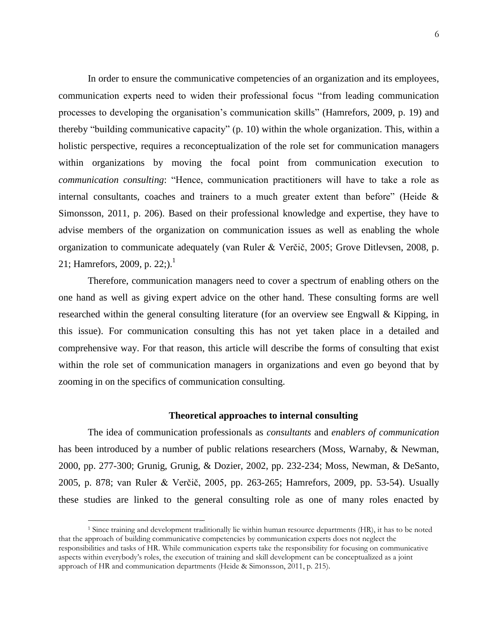In order to ensure the communicative competencies of an organization and its employees, communication experts need to widen their professional focus "from leading communication processes to developing the organisation's communication skills" (Hamrefors, 2009, p. 19) and thereby "building communicative capacity" (p. 10) within the whole organization. This, within a holistic perspective, requires a reconceptualization of the role set for communication managers within organizations by moving the focal point from communication execution to *communication consulting*: "Hence, communication practitioners will have to take a role as internal consultants, coaches and trainers to a much greater extent than before" (Heide & Simonsson, 2011, p. 206). Based on their professional knowledge and expertise, they have to advise members of the organization on communication issues as well as enabling the whole organization to communicate adequately (van Ruler & Verčič, 2005; Grove Ditlevsen, 2008, p. 21; Hamrefors, 2009, p. 22;).<sup>1</sup>

Therefore, communication managers need to cover a spectrum of enabling others on the one hand as well as giving expert advice on the other hand. These consulting forms are well researched within the general consulting literature (for an overview see Engwall & Kipping, in this issue). For communication consulting this has not yet taken place in a detailed and comprehensive way. For that reason, this article will describe the forms of consulting that exist within the role set of communication managers in organizations and even go beyond that by zooming in on the specifics of communication consulting.

#### **Theoretical approaches to internal consulting**

The idea of communication professionals as *consultants* and *enablers of communication* has been introduced by a number of public relations researchers (Moss, Warnaby, & Newman, 2000, pp. 277-300; Grunig, Grunig, & Dozier, 2002, pp. 232-234; Moss, Newman, & DeSanto, 2005, p. 878; van Ruler & Verčič, 2005, pp. 263-265; Hamrefors, 2009, pp. 53-54). Usually these studies are linked to the general consulting role as one of many roles enacted by

 $\overline{a}$ 

<sup>1</sup> Since training and development traditionally lie within human resource departments (HR), it has to be noted that the approach of building communicative competencies by communication experts does not neglect the responsibilities and tasks of HR. While communication experts take the responsibility for focusing on communicative aspects within everybody's roles, the execution of training and skill development can be conceptualized as a joint approach of HR and communication departments (Heide & Simonsson, 2011, p. 215).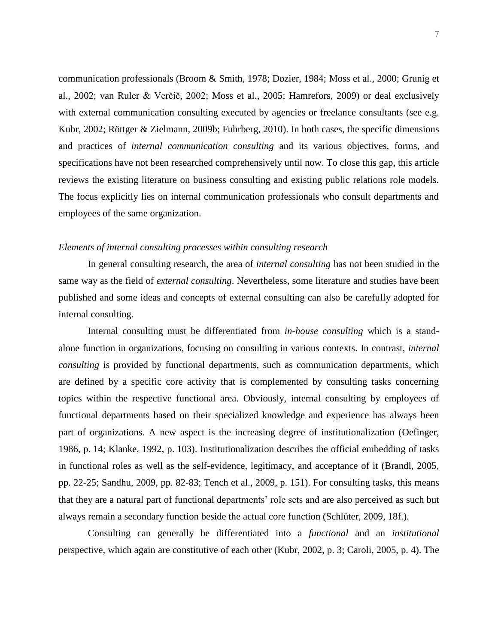communication professionals (Broom & Smith, 1978; Dozier, 1984; Moss et al., 2000; Grunig et al., 2002; van Ruler & Verčič, 2002; Moss et al., 2005; Hamrefors, 2009) or deal exclusively with external communication consulting executed by agencies or freelance consultants (see e.g. Kubr, 2002; Röttger & Zielmann, 2009b; Fuhrberg, 2010). In both cases, the specific dimensions and practices of *internal communication consulting* and its various objectives, forms, and specifications have not been researched comprehensively until now. To close this gap, this article reviews the existing literature on business consulting and existing public relations role models. The focus explicitly lies on internal communication professionals who consult departments and employees of the same organization.

#### *Elements of internal consulting processes within consulting research*

In general consulting research, the area of *internal consulting* has not been studied in the same way as the field of *external consulting*. Nevertheless, some literature and studies have been published and some ideas and concepts of external consulting can also be carefully adopted for internal consulting.

Internal consulting must be differentiated from *in-house consulting* which is a standalone function in organizations, focusing on consulting in various contexts. In contrast, *internal consulting* is provided by functional departments, such as communication departments, which are defined by a specific core activity that is complemented by consulting tasks concerning topics within the respective functional area. Obviously, internal consulting by employees of functional departments based on their specialized knowledge and experience has always been part of organizations. A new aspect is the increasing degree of institutionalization (Oefinger, 1986, p. 14; Klanke, 1992, p. 103). Institutionalization describes the official embedding of tasks in functional roles as well as the self-evidence, legitimacy, and acceptance of it (Brandl, 2005, pp. 22-25; Sandhu, 2009, pp. 82-83; Tench et al., 2009, p. 151). For consulting tasks, this means that they are a natural part of functional departments' role sets and are also perceived as such but always remain a secondary function beside the actual core function (Schlüter, 2009, 18f.).

Consulting can generally be differentiated into a *functional* and an *institutional* perspective, which again are constitutive of each other (Kubr, 2002, p. 3; Caroli, 2005, p. 4). The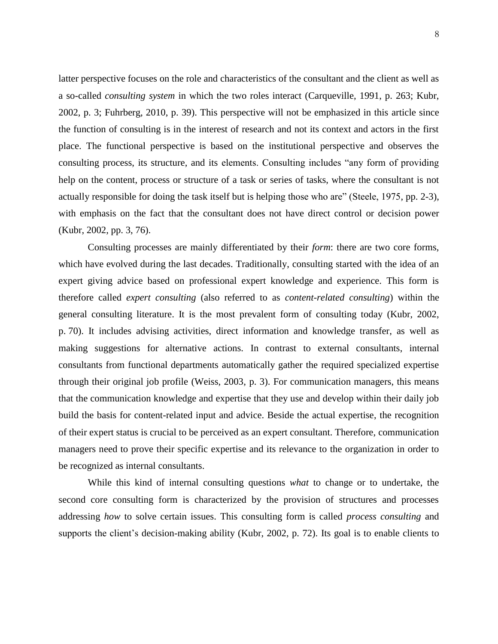latter perspective focuses on the role and characteristics of the consultant and the client as well as a so-called *consulting system* in which the two roles interact (Carqueville, 1991, p. 263; Kubr, 2002, p. 3; Fuhrberg, 2010, p. 39). This perspective will not be emphasized in this article since the function of consulting is in the interest of research and not its context and actors in the first place. The functional perspective is based on the institutional perspective and observes the consulting process, its structure, and its elements. Consulting includes "any form of providing help on the content, process or structure of a task or series of tasks, where the consultant is not actually responsible for doing the task itself but is helping those who are" (Steele, 1975, pp. 2-3), with emphasis on the fact that the consultant does not have direct control or decision power (Kubr, 2002, pp. 3, 76).

Consulting processes are mainly differentiated by their *form*: there are two core forms, which have evolved during the last decades. Traditionally, consulting started with the idea of an expert giving advice based on professional expert knowledge and experience. This form is therefore called *expert consulting* (also referred to as *content-related consulting*) within the general consulting literature. It is the most prevalent form of consulting today (Kubr, 2002, p. 70). It includes advising activities, direct information and knowledge transfer, as well as making suggestions for alternative actions. In contrast to external consultants, internal consultants from functional departments automatically gather the required specialized expertise through their original job profile (Weiss, 2003, p. 3). For communication managers, this means that the communication knowledge and expertise that they use and develop within their daily job build the basis for content-related input and advice. Beside the actual expertise, the recognition of their expert status is crucial to be perceived as an expert consultant. Therefore, communication managers need to prove their specific expertise and its relevance to the organization in order to be recognized as internal consultants.

While this kind of internal consulting questions *what* to change or to undertake, the second core consulting form is characterized by the provision of structures and processes addressing *how* to solve certain issues. This consulting form is called *process consulting* and supports the client's decision-making ability (Kubr, 2002, p. 72). Its goal is to enable clients to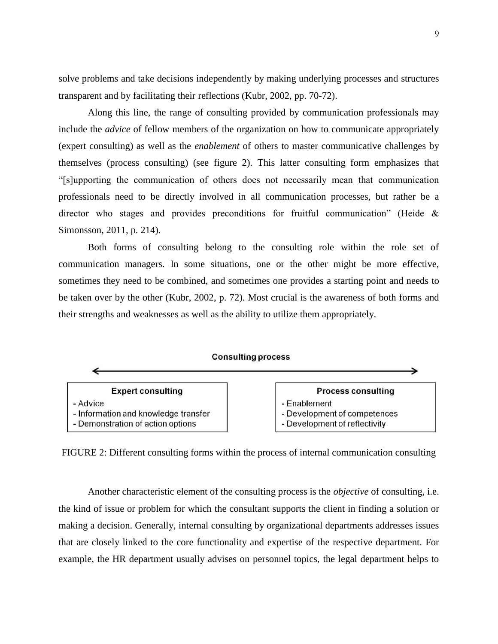solve problems and take decisions independently by making underlying processes and structures transparent and by facilitating their reflections (Kubr, 2002, pp. 70-72).

Along this line, the range of consulting provided by communication professionals may include the *advice* of fellow members of the organization on how to communicate appropriately (expert consulting) as well as the *enablement* of others to master communicative challenges by themselves (process consulting) (see figure 2). This latter consulting form emphasizes that "[s]upporting the communication of others does not necessarily mean that communication professionals need to be directly involved in all communication processes, but rather be a director who stages and provides preconditions for fruitful communication" (Heide & Simonsson, 2011, p. 214).

Both forms of consulting belong to the consulting role within the role set of communication managers. In some situations, one or the other might be more effective, sometimes they need to be combined, and sometimes one provides a starting point and needs to be taken over by the other (Kubr, 2002, p. 72). Most crucial is the awareness of both forms and their strengths and weaknesses as well as the ability to utilize them appropriately.



**Expert consulting** - Advice - Information and knowledge transfer - Demonstration of action options

**Process consulting** 

- Enablement
- Development of competences
- Development of reflectivity

FIGURE 2: Different consulting forms within the process of internal communication consulting

Another characteristic element of the consulting process is the *objective* of consulting, i.e. the kind of issue or problem for which the consultant supports the client in finding a solution or making a decision. Generally, internal consulting by organizational departments addresses issues that are closely linked to the core functionality and expertise of the respective department. For example, the HR department usually advises on personnel topics, the legal department helps to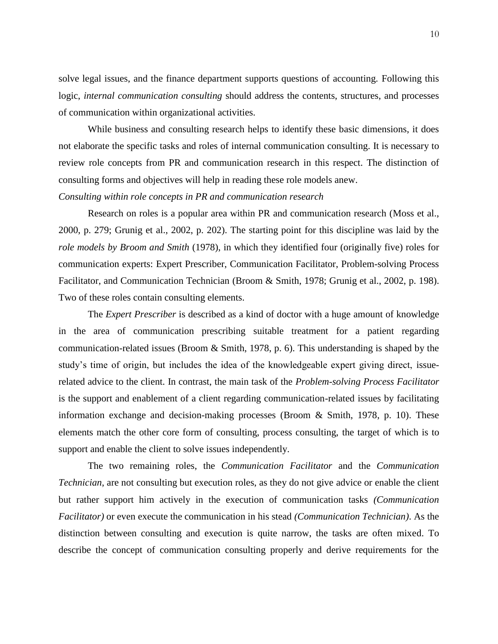solve legal issues, and the finance department supports questions of accounting. Following this logic, *internal communication consulting* should address the contents, structures, and processes of communication within organizational activities.

While business and consulting research helps to identify these basic dimensions, it does not elaborate the specific tasks and roles of internal communication consulting. It is necessary to review role concepts from PR and communication research in this respect. The distinction of consulting forms and objectives will help in reading these role models anew.

### *Consulting within role concepts in PR and communication research*

Research on roles is a popular area within PR and communication research (Moss et al., 2000, p. 279; Grunig et al., 2002, p. 202). The starting point for this discipline was laid by the *role models by Broom and Smith* (1978), in which they identified four (originally five) roles for communication experts: Expert Prescriber, Communication Facilitator, Problem-solving Process Facilitator, and Communication Technician (Broom & Smith, 1978; Grunig et al., 2002, p. 198). Two of these roles contain consulting elements.

The *Expert Prescriber* is described as a kind of doctor with a huge amount of knowledge in the area of communication prescribing suitable treatment for a patient regarding communication-related issues (Broom & Smith, 1978, p. 6). This understanding is shaped by the study's time of origin, but includes the idea of the knowledgeable expert giving direct, issuerelated advice to the client. In contrast, the main task of the *Problem-solving Process Facilitator* is the support and enablement of a client regarding communication-related issues by facilitating information exchange and decision-making processes (Broom & Smith, 1978, p. 10). These elements match the other core form of consulting, process consulting, the target of which is to support and enable the client to solve issues independently.

The two remaining roles, the *Communication Facilitator* and the *Communication Technician*, are not consulting but execution roles, as they do not give advice or enable the client but rather support him actively in the execution of communication tasks *(Communication Facilitator)* or even execute the communication in his stead *(Communication Technician)*. As the distinction between consulting and execution is quite narrow, the tasks are often mixed. To describe the concept of communication consulting properly and derive requirements for the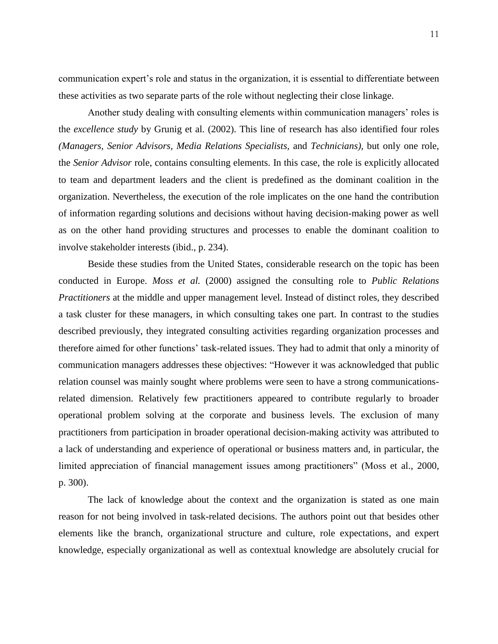communication expert's role and status in the organization, it is essential to differentiate between these activities as two separate parts of the role without neglecting their close linkage.

Another study dealing with consulting elements within communication managers' roles is the *excellence study* by Grunig et al. (2002). This line of research has also identified four roles *(Managers, Senior Advisors, Media Relations Specialists,* and *Technicians),* but only one role, the *Senior Advisor* role, contains consulting elements. In this case, the role is explicitly allocated to team and department leaders and the client is predefined as the dominant coalition in the organization. Nevertheless, the execution of the role implicates on the one hand the contribution of information regarding solutions and decisions without having decision-making power as well as on the other hand providing structures and processes to enable the dominant coalition to involve stakeholder interests (ibid., p. 234).

Beside these studies from the United States, considerable research on the topic has been conducted in Europe. *Moss et al.* (2000) assigned the consulting role to *Public Relations Practitioners* at the middle and upper management level. Instead of distinct roles, they described a task cluster for these managers, in which consulting takes one part. In contrast to the studies described previously, they integrated consulting activities regarding organization processes and therefore aimed for other functions' task-related issues. They had to admit that only a minority of communication managers addresses these objectives: "However it was acknowledged that public relation counsel was mainly sought where problems were seen to have a strong communicationsrelated dimension. Relatively few practitioners appeared to contribute regularly to broader operational problem solving at the corporate and business levels. The exclusion of many practitioners from participation in broader operational decision-making activity was attributed to a lack of understanding and experience of operational or business matters and, in particular, the limited appreciation of financial management issues among practitioners" (Moss et al., 2000, p. 300).

The lack of knowledge about the context and the organization is stated as one main reason for not being involved in task-related decisions. The authors point out that besides other elements like the branch, organizational structure and culture, role expectations, and expert knowledge, especially organizational as well as contextual knowledge are absolutely crucial for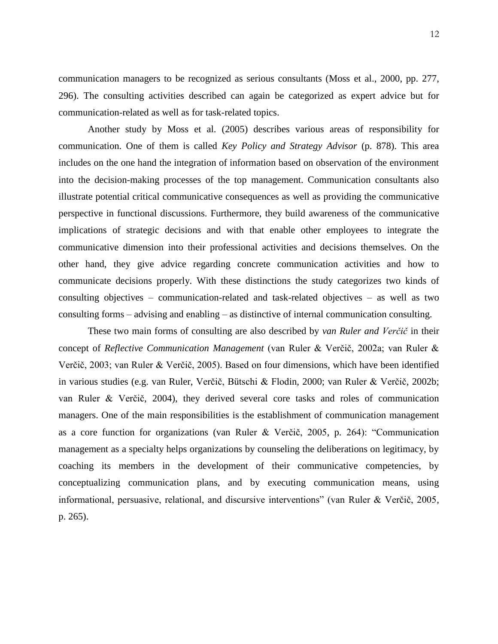communication managers to be recognized as serious consultants (Moss et al., 2000, pp. 277, 296). The consulting activities described can again be categorized as expert advice but for communication-related as well as for task-related topics.

Another study by Moss et al. (2005) describes various areas of responsibility for communication. One of them is called *Key Policy and Strategy Advisor* (p. 878). This area includes on the one hand the integration of information based on observation of the environment into the decision-making processes of the top management. Communication consultants also illustrate potential critical communicative consequences as well as providing the communicative perspective in functional discussions. Furthermore, they build awareness of the communicative implications of strategic decisions and with that enable other employees to integrate the communicative dimension into their professional activities and decisions themselves. On the other hand, they give advice regarding concrete communication activities and how to communicate decisions properly. With these distinctions the study categorizes two kinds of consulting objectives – communication-related and task-related objectives – as well as two consulting forms – advising and enabling – as distinctive of internal communication consulting.

These two main forms of consulting are also described by *van Ruler and Verčič* in their concept of *Reflective Communication Management* (van Ruler & Verčič, 2002a; van Ruler & Verčič, 2003; van Ruler & Verčič, 2005). Based on four dimensions, which have been identified in various studies (e.g. van Ruler, Verčič, Bütschi & Flodin, 2000; van Ruler & Verčič, 2002b; van Ruler & Verčič, 2004), they derived several core tasks and roles of communication managers. One of the main responsibilities is the establishment of communication management as a core function for organizations (van Ruler & Verčič, 2005, p. 264): "Communication management as a specialty helps organizations by counseling the deliberations on legitimacy, by coaching its members in the development of their communicative competencies, by conceptualizing communication plans, and by executing communication means, using informational, persuasive, relational, and discursive interventions" (van Ruler & Verčič, 2005, p. 265).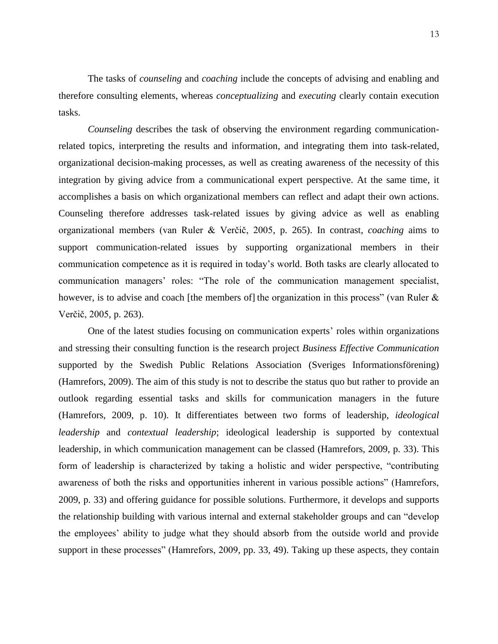The tasks of *counseling* and *coaching* include the concepts of advising and enabling and therefore consulting elements, whereas *conceptualizing* and *executing* clearly contain execution tasks.

*Counseling* describes the task of observing the environment regarding communicationrelated topics, interpreting the results and information, and integrating them into task-related, organizational decision-making processes, as well as creating awareness of the necessity of this integration by giving advice from a communicational expert perspective. At the same time, it accomplishes a basis on which organizational members can reflect and adapt their own actions. Counseling therefore addresses task-related issues by giving advice as well as enabling organizational members (van Ruler & Verčič, 2005, p. 265). In contrast, *coaching* aims to support communication-related issues by supporting organizational members in their communication competence as it is required in today's world. Both tasks are clearly allocated to communication managers' roles: "The role of the communication management specialist, however, is to advise and coach [the members of] the organization in this process" (van Ruler & Verčič, 2005, p. 263).

One of the latest studies focusing on communication experts' roles within organizations and stressing their consulting function is the research project *Business Effective Communication* supported by the Swedish Public Relations Association (Sveriges Informationsförening) (Hamrefors, 2009). The aim of this study is not to describe the status quo but rather to provide an outlook regarding essential tasks and skills for communication managers in the future (Hamrefors, 2009, p. 10). It differentiates between two forms of leadership, *ideological leadership* and *contextual leadership*; ideological leadership is supported by contextual leadership, in which communication management can be classed (Hamrefors, 2009, p. 33). This form of leadership is characterized by taking a holistic and wider perspective, "contributing awareness of both the risks and opportunities inherent in various possible actions" (Hamrefors, 2009, p. 33) and offering guidance for possible solutions. Furthermore, it develops and supports the relationship building with various internal and external stakeholder groups and can "develop the employees' ability to judge what they should absorb from the outside world and provide support in these processes" (Hamrefors, 2009, pp. 33, 49). Taking up these aspects, they contain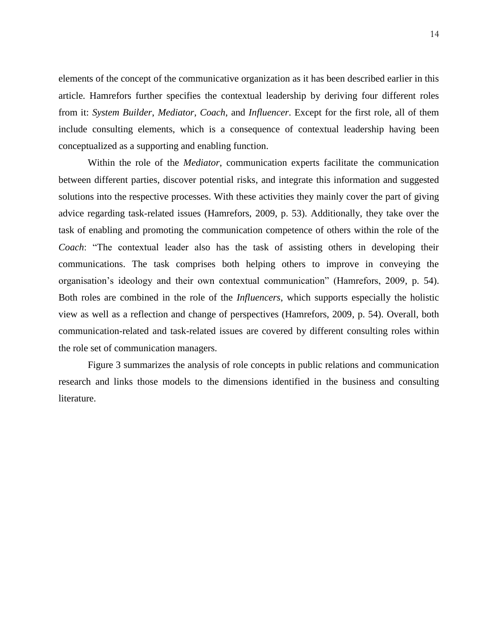elements of the concept of the communicative organization as it has been described earlier in this article. Hamrefors further specifies the contextual leadership by deriving four different roles from it: *System Builder*, *Mediator*, *Coach*, and *Influencer*. Except for the first role, all of them include consulting elements, which is a consequence of contextual leadership having been conceptualized as a supporting and enabling function.

Within the role of the *Mediator*, communication experts facilitate the communication between different parties, discover potential risks, and integrate this information and suggested solutions into the respective processes. With these activities they mainly cover the part of giving advice regarding task-related issues (Hamrefors, 2009, p. 53). Additionally, they take over the task of enabling and promoting the communication competence of others within the role of the *Coach*: "The contextual leader also has the task of assisting others in developing their communications. The task comprises both helping others to improve in conveying the organisation's ideology and their own contextual communication" (Hamrefors, 2009, p. 54). Both roles are combined in the role of the *Influencers*, which supports especially the holistic view as well as a reflection and change of perspectives (Hamrefors, 2009, p. 54). Overall, both communication-related and task-related issues are covered by different consulting roles within the role set of communication managers.

Figure 3 summarizes the analysis of role concepts in public relations and communication research and links those models to the dimensions identified in the business and consulting literature.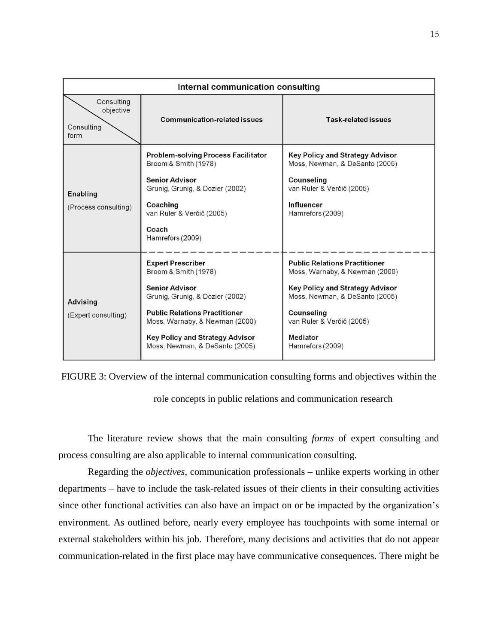| Internal communication consulting             |                                                                                                                                                                                                                                                                    |                                                                                                                                                                                                                               |  |
|-----------------------------------------------|--------------------------------------------------------------------------------------------------------------------------------------------------------------------------------------------------------------------------------------------------------------------|-------------------------------------------------------------------------------------------------------------------------------------------------------------------------------------------------------------------------------|--|
| Consulting<br>objective<br>Consulting<br>form | <b>Communication-related issues</b>                                                                                                                                                                                                                                | <b>Task-related issues</b>                                                                                                                                                                                                    |  |
| Enabling<br>(Process consulting)              | <b>Problem-solving Process Facilitator</b><br>Broom & Smith (1978)<br><b>Senior Advisor</b><br>Grunig, Grunig, & Dozier (2002)<br>Coaching<br>van Ruler & Verčič (2005)<br>Coach<br>Hamrefors (2009)                                                               | <b>Key Policy and Strategy Advisor</b><br>Moss, Newman, & DeSanto (2005)<br>Counseling<br>van Ruler & Verčič (2005)<br>Influencer<br>Hamrefors (2009)                                                                         |  |
| <b>Advising</b><br>(Expert consulting)        | <b>Expert Prescriber</b><br>Broom & Smith (1978)<br><b>Senior Advisor</b><br>Grunig, Grunig, & Dozier (2002)<br><b>Public Relations Practitioner</b><br>Moss, Warnaby, & Newman (2000)<br><b>Key Policy and Strategy Advisor</b><br>Moss, Newman, & DeSanto (2005) | <b>Public Relations Practitioner</b><br>Moss, Warnaby, & Newman (2000)<br><b>Key Policy and Strategy Advisor</b><br>Moss, Newman, & DeSanto (2005)<br>Counseling<br>van Ruler & Verčič (2005)<br>Mediator<br>Hamrefors (2009) |  |

FIGURE 3: Overview of the internal communication consulting forms and objectives within the

role concepts in public relations and communication research

The literature review shows that the main consulting *forms* of expert consulting and process consulting are also applicable to internal communication consulting.

Regarding the *objectives*, communication professionals – unlike experts working in other departments – have to include the task-related issues of their clients in their consulting activities since other functional activities can also have an impact on or be impacted by the organization's environment. As outlined before, nearly every employee has touchpoints with some internal or external stakeholders within his job. Therefore, many decisions and activities that do not appear communication-related in the first place may have communicative consequences. There might be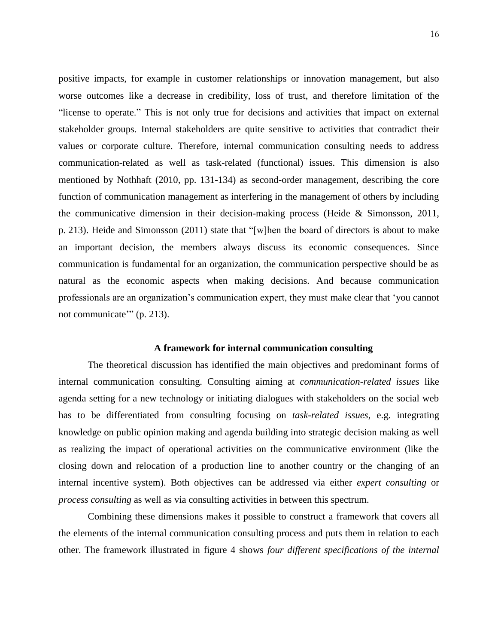positive impacts, for example in customer relationships or innovation management, but also worse outcomes like a decrease in credibility, loss of trust, and therefore limitation of the "license to operate." This is not only true for decisions and activities that impact on external stakeholder groups. Internal stakeholders are quite sensitive to activities that contradict their values or corporate culture. Therefore, internal communication consulting needs to address communication-related as well as task-related (functional) issues. This dimension is also mentioned by Nothhaft (2010, pp. 131-134) as second-order management, describing the core function of communication management as interfering in the management of others by including the communicative dimension in their decision-making process (Heide & Simonsson, 2011, p. 213). Heide and Simonsson (2011) state that "[w]hen the board of directors is about to make an important decision, the members always discuss its economic consequences. Since communication is fundamental for an organization, the communication perspective should be as natural as the economic aspects when making decisions. And because communication professionals are an organization's communication expert, they must make clear that 'you cannot not communicate'" (p. 213).

#### **A framework for internal communication consulting**

The theoretical discussion has identified the main objectives and predominant forms of internal communication consulting. Consulting aiming at *communication-related issues* like agenda setting for a new technology or initiating dialogues with stakeholders on the social web has to be differentiated from consulting focusing on *task-related issues*, e.g. integrating knowledge on public opinion making and agenda building into strategic decision making as well as realizing the impact of operational activities on the communicative environment (like the closing down and relocation of a production line to another country or the changing of an internal incentive system). Both objectives can be addressed via either *expert consulting* or *process consulting* as well as via consulting activities in between this spectrum.

Combining these dimensions makes it possible to construct a framework that covers all the elements of the internal communication consulting process and puts them in relation to each other. The framework illustrated in figure 4 shows *four different specifications of the internal*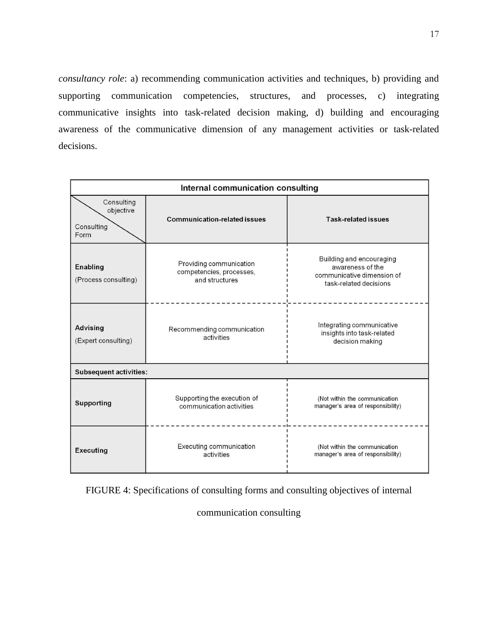*consultancy role*: a) recommending communication activities and techniques, b) providing and supporting communication competencies, structures, and processes, c) integrating communicative insights into task-related decision making, d) building and encouraging awareness of the communicative dimension of any management activities or task-related decisions.

| Internal communication consulting             |                                                                       |                                                                                                      |  |
|-----------------------------------------------|-----------------------------------------------------------------------|------------------------------------------------------------------------------------------------------|--|
| Consulting<br>objective<br>Consulting<br>Form | <b>Communication-related issues</b>                                   | <b>Task-related issues</b>                                                                           |  |
| <b>Enabling</b><br>(Process consulting)       | Providing communication<br>competencies, processes,<br>and structures | Building and encouraging<br>awareness of the<br>communicative dimension of<br>task-related decisions |  |
| Advising<br>(Expert consulting)               | Recommending communication<br>activities                              | Integrating communicative<br>insights into task-related<br>decision making                           |  |
| <b>Subsequent activities:</b>                 |                                                                       |                                                                                                      |  |
| Supporting                                    | Supporting the execution of<br>communication activities               | (Not within the communication<br>manager's area of responsibility)                                   |  |
| <b>Executing</b>                              | Executing communication<br>activities                                 | (Not within the communication<br>manager's area of responsibility)                                   |  |

### FIGURE 4: Specifications of consulting forms and consulting objectives of internal

### communication consulting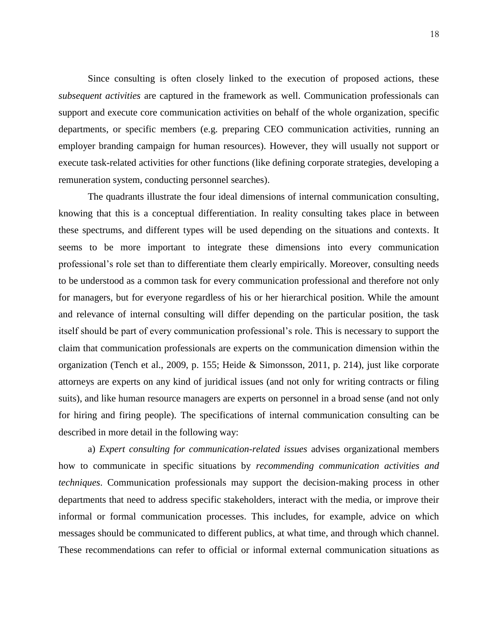Since consulting is often closely linked to the execution of proposed actions, these *subsequent activities* are captured in the framework as well. Communication professionals can support and execute core communication activities on behalf of the whole organization, specific departments, or specific members (e.g. preparing CEO communication activities, running an employer branding campaign for human resources). However, they will usually not support or execute task-related activities for other functions (like defining corporate strategies, developing a remuneration system, conducting personnel searches).

The quadrants illustrate the four ideal dimensions of internal communication consulting, knowing that this is a conceptual differentiation. In reality consulting takes place in between these spectrums, and different types will be used depending on the situations and contexts. It seems to be more important to integrate these dimensions into every communication professional's role set than to differentiate them clearly empirically. Moreover, consulting needs to be understood as a common task for every communication professional and therefore not only for managers, but for everyone regardless of his or her hierarchical position. While the amount and relevance of internal consulting will differ depending on the particular position, the task itself should be part of every communication professional's role. This is necessary to support the claim that communication professionals are experts on the communication dimension within the organization (Tench et al., 2009, p. 155; Heide & Simonsson, 2011, p. 214), just like corporate attorneys are experts on any kind of juridical issues (and not only for writing contracts or filing suits), and like human resource managers are experts on personnel in a broad sense (and not only for hiring and firing people). The specifications of internal communication consulting can be described in more detail in the following way:

a) *Expert consulting for communication-related issues* advises organizational members how to communicate in specific situations by *recommending communication activities and techniques*. Communication professionals may support the decision-making process in other departments that need to address specific stakeholders, interact with the media, or improve their informal or formal communication processes. This includes, for example, advice on which messages should be communicated to different publics, at what time, and through which channel. These recommendations can refer to official or informal external communication situations as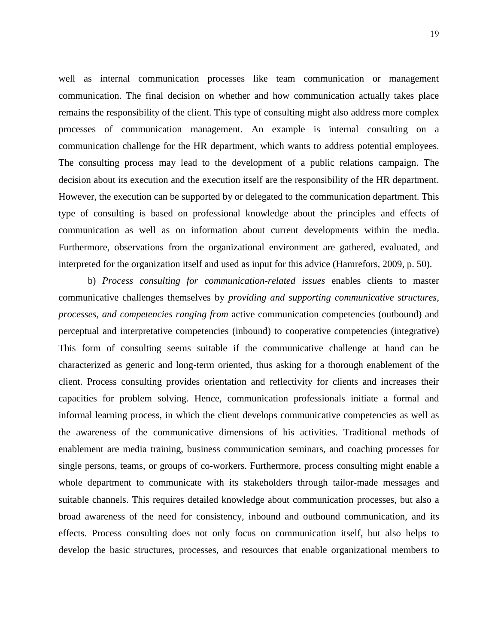well as internal communication processes like team communication or management communication. The final decision on whether and how communication actually takes place remains the responsibility of the client. This type of consulting might also address more complex processes of communication management. An example is internal consulting on a communication challenge for the HR department, which wants to address potential employees. The consulting process may lead to the development of a public relations campaign. The decision about its execution and the execution itself are the responsibility of the HR department. However, the execution can be supported by or delegated to the communication department. This type of consulting is based on professional knowledge about the principles and effects of communication as well as on information about current developments within the media. Furthermore, observations from the organizational environment are gathered, evaluated, and interpreted for the organization itself and used as input for this advice (Hamrefors, 2009, p. 50).

b) *Process consulting for communication-related issues* enables clients to master communicative challenges themselves by *providing and supporting communicative structures, processes, and competencies ranging from* active communication competencies (outbound) and perceptual and interpretative competencies (inbound) to cooperative competencies (integrative) This form of consulting seems suitable if the communicative challenge at hand can be characterized as generic and long-term oriented, thus asking for a thorough enablement of the client. Process consulting provides orientation and reflectivity for clients and increases their capacities for problem solving. Hence, communication professionals initiate a formal and informal learning process, in which the client develops communicative competencies as well as the awareness of the communicative dimensions of his activities. Traditional methods of enablement are media training, business communication seminars, and coaching processes for single persons, teams, or groups of co-workers. Furthermore, process consulting might enable a whole department to communicate with its stakeholders through tailor-made messages and suitable channels. This requires detailed knowledge about communication processes, but also a broad awareness of the need for consistency, inbound and outbound communication, and its effects. Process consulting does not only focus on communication itself, but also helps to develop the basic structures, processes, and resources that enable organizational members to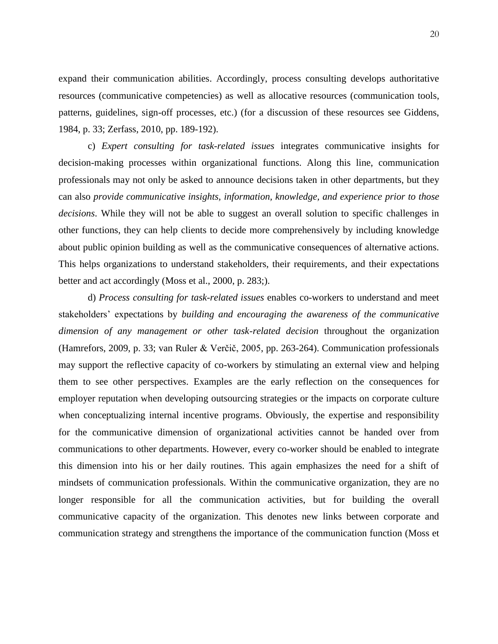expand their communication abilities. Accordingly, process consulting develops authoritative resources (communicative competencies) as well as allocative resources (communication tools, patterns, guidelines, sign-off processes, etc.) (for a discussion of these resources see Giddens, 1984, p. 33; Zerfass, 2010, pp. 189-192).

c) *Expert consulting for task-related issues* integrates communicative insights for decision-making processes within organizational functions. Along this line, communication professionals may not only be asked to announce decisions taken in other departments, but they can also *provide communicative insights, information, knowledge, and experience prior to those decisions*. While they will not be able to suggest an overall solution to specific challenges in other functions, they can help clients to decide more comprehensively by including knowledge about public opinion building as well as the communicative consequences of alternative actions. This helps organizations to understand stakeholders, their requirements, and their expectations better and act accordingly (Moss et al., 2000, p. 283;).

d) *Process consulting for task-related issues* enables co-workers to understand and meet stakeholders' expectations by *building and encouraging the awareness of the communicative dimension of any management or other task-related decision* throughout the organization (Hamrefors, 2009, p. 33; van Ruler & Verčič, 2005, pp. 263-264). Communication professionals may support the reflective capacity of co-workers by stimulating an external view and helping them to see other perspectives. Examples are the early reflection on the consequences for employer reputation when developing outsourcing strategies or the impacts on corporate culture when conceptualizing internal incentive programs. Obviously, the expertise and responsibility for the communicative dimension of organizational activities cannot be handed over from communications to other departments. However, every co-worker should be enabled to integrate this dimension into his or her daily routines. This again emphasizes the need for a shift of mindsets of communication professionals. Within the communicative organization, they are no longer responsible for all the communication activities, but for building the overall communicative capacity of the organization. This denotes new links between corporate and communication strategy and strengthens the importance of the communication function (Moss et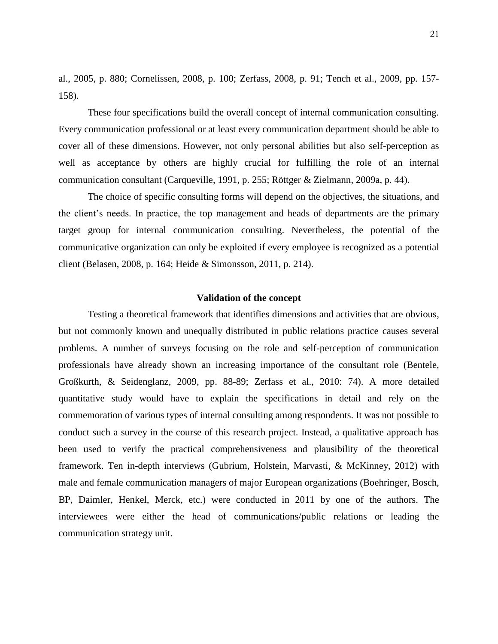al., 2005, p. 880; Cornelissen, 2008, p. 100; Zerfass, 2008, p. 91; Tench et al., 2009, pp. 157- 158).

These four specifications build the overall concept of internal communication consulting. Every communication professional or at least every communication department should be able to cover all of these dimensions. However, not only personal abilities but also self-perception as well as acceptance by others are highly crucial for fulfilling the role of an internal communication consultant (Carqueville, 1991, p. 255; Röttger & Zielmann, 2009a, p. 44).

The choice of specific consulting forms will depend on the objectives, the situations, and the client's needs. In practice, the top management and heads of departments are the primary target group for internal communication consulting. Nevertheless, the potential of the communicative organization can only be exploited if every employee is recognized as a potential client (Belasen, 2008, p. 164; Heide & Simonsson, 2011, p. 214).

#### **Validation of the concept**

Testing a theoretical framework that identifies dimensions and activities that are obvious, but not commonly known and unequally distributed in public relations practice causes several problems. A number of surveys focusing on the role and self-perception of communication professionals have already shown an increasing importance of the consultant role (Bentele, Großkurth, & Seidenglanz, 2009, pp. 88-89; Zerfass et al., 2010: 74). A more detailed quantitative study would have to explain the specifications in detail and rely on the commemoration of various types of internal consulting among respondents. It was not possible to conduct such a survey in the course of this research project. Instead, a qualitative approach has been used to verify the practical comprehensiveness and plausibility of the theoretical framework. Ten in-depth interviews (Gubrium, Holstein, Marvasti, & McKinney, 2012) with male and female communication managers of major European organizations (Boehringer, Bosch, BP, Daimler, Henkel, Merck, etc.) were conducted in 2011 by one of the authors. The interviewees were either the head of communications/public relations or leading the communication strategy unit.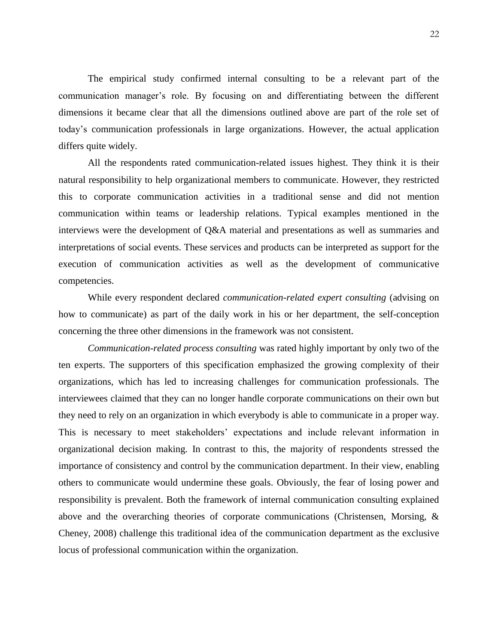The empirical study confirmed internal consulting to be a relevant part of the communication manager's role. By focusing on and differentiating between the different dimensions it became clear that all the dimensions outlined above are part of the role set of today's communication professionals in large organizations. However, the actual application differs quite widely.

All the respondents rated communication-related issues highest. They think it is their natural responsibility to help organizational members to communicate. However, they restricted this to corporate communication activities in a traditional sense and did not mention communication within teams or leadership relations. Typical examples mentioned in the interviews were the development of Q&A material and presentations as well as summaries and interpretations of social events. These services and products can be interpreted as support for the execution of communication activities as well as the development of communicative competencies.

While every respondent declared *communication-related expert consulting* (advising on how to communicate) as part of the daily work in his or her department, the self-conception concerning the three other dimensions in the framework was not consistent.

*Communication-related process consulting* was rated highly important by only two of the ten experts. The supporters of this specification emphasized the growing complexity of their organizations, which has led to increasing challenges for communication professionals. The interviewees claimed that they can no longer handle corporate communications on their own but they need to rely on an organization in which everybody is able to communicate in a proper way. This is necessary to meet stakeholders' expectations and include relevant information in organizational decision making. In contrast to this, the majority of respondents stressed the importance of consistency and control by the communication department. In their view, enabling others to communicate would undermine these goals. Obviously, the fear of losing power and responsibility is prevalent. Both the framework of internal communication consulting explained above and the overarching theories of corporate communications (Christensen, Morsing, & Cheney, 2008) challenge this traditional idea of the communication department as the exclusive locus of professional communication within the organization.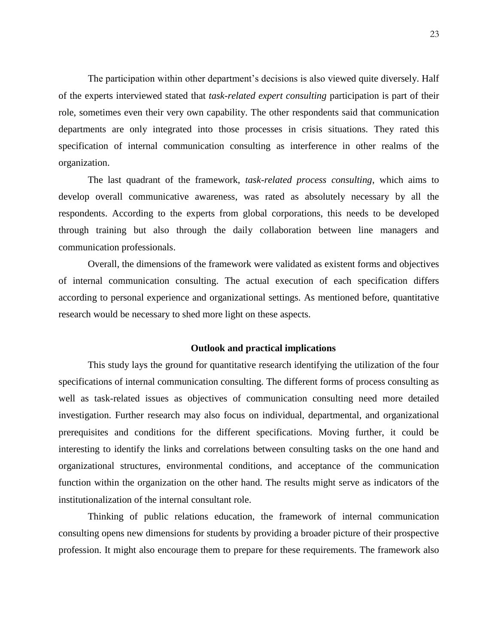The participation within other department's decisions is also viewed quite diversely. Half of the experts interviewed stated that *task-related expert consulting* participation is part of their role, sometimes even their very own capability. The other respondents said that communication departments are only integrated into those processes in crisis situations. They rated this specification of internal communication consulting as interference in other realms of the organization.

The last quadrant of the framework, *task-related process consulting*, which aims to develop overall communicative awareness, was rated as absolutely necessary by all the respondents. According to the experts from global corporations, this needs to be developed through training but also through the daily collaboration between line managers and communication professionals.

Overall, the dimensions of the framework were validated as existent forms and objectives of internal communication consulting. The actual execution of each specification differs according to personal experience and organizational settings. As mentioned before, quantitative research would be necessary to shed more light on these aspects.

#### **Outlook and practical implications**

This study lays the ground for quantitative research identifying the utilization of the four specifications of internal communication consulting. The different forms of process consulting as well as task-related issues as objectives of communication consulting need more detailed investigation. Further research may also focus on individual, departmental, and organizational prerequisites and conditions for the different specifications. Moving further, it could be interesting to identify the links and correlations between consulting tasks on the one hand and organizational structures, environmental conditions, and acceptance of the communication function within the organization on the other hand. The results might serve as indicators of the institutionalization of the internal consultant role.

Thinking of public relations education, the framework of internal communication consulting opens new dimensions for students by providing a broader picture of their prospective profession. It might also encourage them to prepare for these requirements. The framework also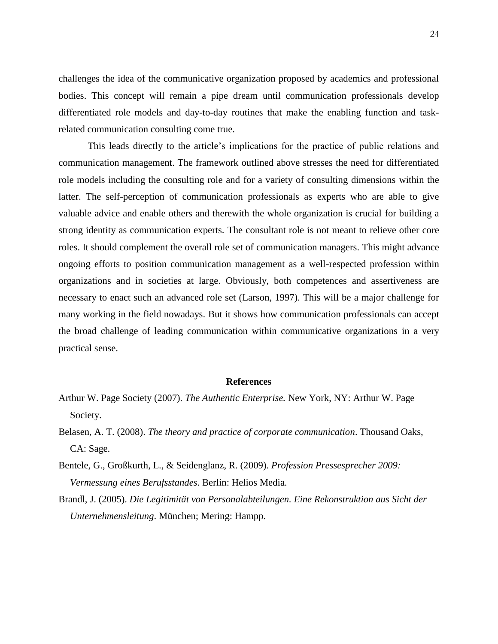challenges the idea of the communicative organization proposed by academics and professional bodies. This concept will remain a pipe dream until communication professionals develop differentiated role models and day-to-day routines that make the enabling function and taskrelated communication consulting come true.

This leads directly to the article's implications for the practice of public relations and communication management. The framework outlined above stresses the need for differentiated role models including the consulting role and for a variety of consulting dimensions within the latter. The self-perception of communication professionals as experts who are able to give valuable advice and enable others and therewith the whole organization is crucial for building a strong identity as communication experts. The consultant role is not meant to relieve other core roles. It should complement the overall role set of communication managers. This might advance ongoing efforts to position communication management as a well-respected profession within organizations and in societies at large. Obviously, both competences and assertiveness are necessary to enact such an advanced role set (Larson, 1997). This will be a major challenge for many working in the field nowadays. But it shows how communication professionals can accept the broad challenge of leading communication within communicative organizations in a very practical sense.

#### **References**

- Arthur W. Page Society (2007). *The Authentic Enterprise.* New York, NY: Arthur W. Page Society.
- Belasen, A. T. (2008). *The theory and practice of corporate communication*. Thousand Oaks, CA: Sage.
- Bentele, G., Großkurth, L., & Seidenglanz, R. (2009). *Profession Pressesprecher 2009: Vermessung eines Berufsstandes*. Berlin: Helios Media.
- Brandl, J. (2005). *Die Legitimität von Personalabteilungen. Eine Rekonstruktion aus Sicht der Unternehmensleitung*. München; Mering: Hampp.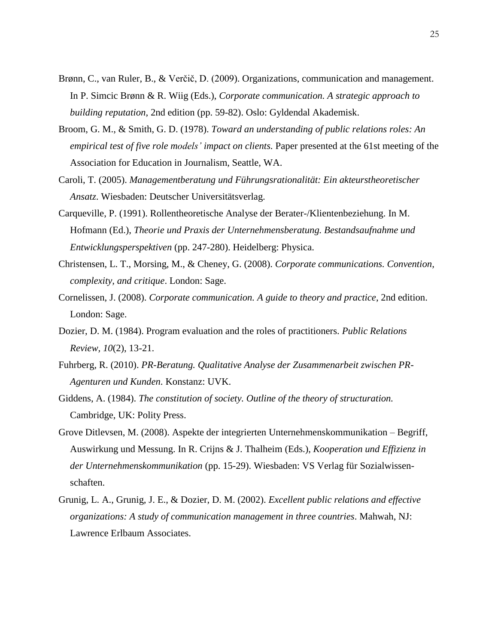- Brønn, C., van Ruler, B., & Verčič, D. (2009). Organizations, communication and management. In P. Simcic Brønn & R. Wiig (Eds.), *Corporate communication. A strategic approach to building reputation*, 2nd edition (pp. 59-82). Oslo: Gyldendal Akademisk.
- Broom, G. M., & Smith, G. D. (1978). *Toward an understanding of public relations roles: An empirical test of five role models' impact on clients.* Paper presented at the 61st meeting of the Association for Education in Journalism, Seattle, WA.
- Caroli, T. (2005). *Managementberatung und Führungsrationalität: Ein akteurstheoretischer Ansatz*. Wiesbaden: Deutscher Universitätsverlag.
- Carqueville, P. (1991). Rollentheoretische Analyse der Berater-/Klientenbeziehung. In M. Hofmann (Ed.), *Theorie und Praxis der Unternehmensberatung. Bestandsaufnahme und Entwicklungsperspektiven* (pp. 247-280). Heidelberg: Physica.
- Christensen, L. T., Morsing, M., & Cheney, G. (2008). *Corporate communications. Convention, complexity, and critique*. London: Sage.
- Cornelissen, J. (2008). *Corporate communication. A guide to theory and practice*, 2nd edition. London: Sage.
- Dozier, D. M. (1984). Program evaluation and the roles of practitioners. *Public Relations Review, 10*(2), 13-21.
- Fuhrberg, R. (2010). *PR-Beratung. Qualitative Analyse der Zusammenarbeit zwischen PR-Agenturen und Kunden*. Konstanz: UVK.
- Giddens, A. (1984). *The constitution of society. Outline of the theory of structuration.* Cambridge, UK: Polity Press.
- Grove Ditlevsen, M. (2008). Aspekte der integrierten Unternehmenskommunikation ‒ Begriff, Auswirkung und Messung. In R. Crijns & J. Thalheim (Eds.), *Kooperation und Effizienz in der Unternehmenskommunikation* (pp. 15-29). Wiesbaden: VS Verlag für Sozialwissenschaften.
- Grunig, L. A., Grunig, J. E., & Dozier, D. M. (2002). *Excellent public relations and effective organizations: A study of communication management in three countries*. Mahwah, NJ: Lawrence Erlbaum Associates.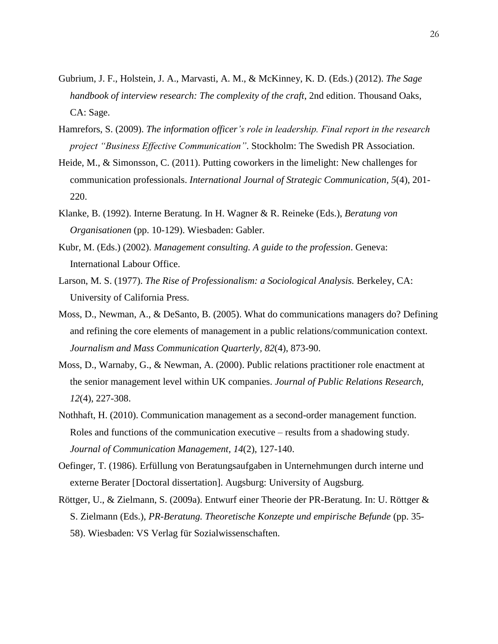- Gubrium, J. F., Holstein, J. A., Marvasti, A. M., & McKinney, K. D. (Eds.) (2012). *The Sage handbook of interview research: The complexity of the craft, 2nd edition. Thousand Oaks,* CA: Sage.
- Hamrefors, S. (2009). *The information officer's role in leadership. Final report in the research project "Business Effective Communication"*. Stockholm: The Swedish PR Association.
- Heide, M., & Simonsson, C. (2011). Putting coworkers in the limelight: New challenges for communication professionals. *International Journal of Strategic Communication, 5*(4), 201- 220.
- Klanke, B. (1992). Interne Beratung. In H. Wagner & R. Reineke (Eds.), *Beratung von Organisationen* (pp. 10-129). Wiesbaden: Gabler.
- Kubr, M. (Eds.) (2002). *Management consulting. A guide to the profession*. Geneva: International Labour Office.
- Larson, M. S. (1977). *The Rise of Professionalism: a Sociological Analysis.* Berkeley, CA: University of California Press.
- Moss, D., Newman, A., & DeSanto, B. (2005). What do communications managers do? Defining and refining the core elements of management in a public relations/communication context. *Journalism and Mass Communication Quarterly, 82*(4), 873-90.
- Moss, D., Warnaby, G., & Newman, A. (2000). Public relations practitioner role enactment at the senior management level within UK companies. *Journal of Public Relations Research, 12*(4), 227-308.
- Nothhaft, H. (2010). Communication management as a second-order management function. Roles and functions of the communication executive – results from a shadowing study. *Journal of Communication Management, 14*(2), 127-140.
- Oefinger, T. (1986). Erfüllung von Beratungsaufgaben in Unternehmungen durch interne und externe Berater [Doctoral dissertation]. Augsburg: University of Augsburg.
- Röttger, U., & Zielmann, S. (2009a). Entwurf einer Theorie der PR-Beratung. In: U. Röttger & S. Zielmann (Eds.), *PR-Beratung. Theoretische Konzepte und empirische Befunde* (pp. 35- 58). Wiesbaden: VS Verlag für Sozialwissenschaften.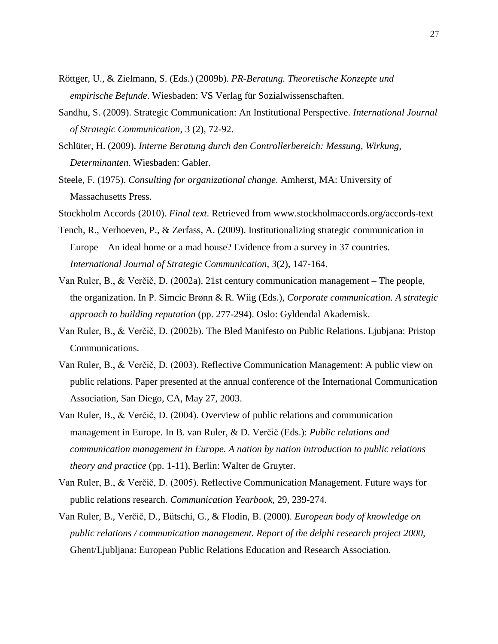- Röttger, U., & Zielmann, S. (Eds.) (2009b). *PR-Beratung. Theoretische Konzepte und empirische Befunde*. Wiesbaden: VS Verlag für Sozialwissenschaften.
- Sandhu, S. (2009). Strategic Communication: An Institutional Perspective. *International Journal of Strategic Communication*, 3 (2), 72-92.
- Schlüter, H. (2009). *Interne Beratung durch den Controllerbereich: Messung, Wirkung, Determinanten*. Wiesbaden: Gabler.
- Steele, F. (1975). *Consulting for organizational change*. Amherst, MA: University of Massachusetts Press.
- Stockholm Accords (2010). *Final text*. Retrieved from www.stockholmaccords.org/accords-text
- Tench, R., Verhoeven, P., & Zerfass, A. (2009). Institutionalizing strategic communication in Europe – An ideal home or a mad house? Evidence from a survey in 37 countries. *International Journal of Strategic Communication, 3*(2), 147-164.
- Van Ruler, B., & Verčič, D. (2002a). 21st century communication management The people, the organization. In P. Simcic Brønn & R. Wiig (Eds.), *Corporate communication. A strategic approach to building reputation* (pp. 277-294). Oslo: Gyldendal Akademisk.
- Van Ruler, B., & Verčič, D. (2002b). The Bled Manifesto on Public Relations. Ljubjana: Pristop Communications.
- Van Ruler, B., & Verčič, D. (2003). Reflective Communication Management: A public view on public relations. Paper presented at the annual conference of the International Communication Association, San Diego, CA, May 27, 2003.
- Van Ruler, B., & Verčič, D. (2004). Overview of public relations and communication management in Europe. In B. van Ruler, & D. Verčič (Eds.): *Public relations and communication management in Europe. A nation by nation introduction to public relations theory and practice* (pp. 1-11), Berlin: Walter de Gruyter.
- Van Ruler, B., & Verčič, D. (2005). Reflective Communication Management. Future ways for public relations research. *Communication Yearbook,* 29, 239-274.
- Van Ruler, B., Verčič, D., Bütschi, G., & Flodin, B. (2000). *European body of knowledge on public relations / communication management. Report of the delphi research project 2000,*  Ghent/Ljubljana: European Public Relations Education and Research Association.